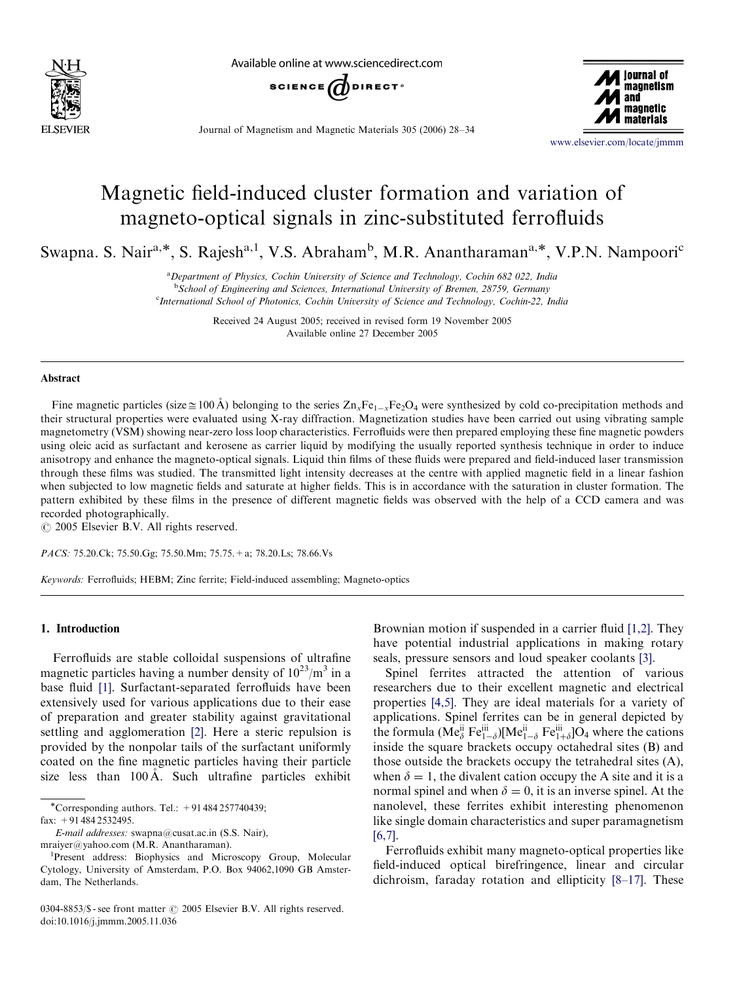

Available online at www.sciencedirect.com



Journal of Magnetism and Magnetic Materials 305 (2006) 28–34



<www.elsevier.com/locate/jmmm>

# Magnetic field-induced cluster formation and variation of magneto-optical signals in zinc-substituted ferrofluids

Swapna. S. Nair<sup>a,\*</sup>, S. Rajesh<sup>a,1</sup>, V.S. Abraham<sup>b</sup>, M.R. Anantharaman<sup>a,\*</sup>, V.P.N. Nampoori<sup>c</sup>

<sup>a</sup> Department of Physics, Cochin University of Science and Technology, Cochin 682 022, India <sup>b</sup>School of Engineering and Sciences, International University of Bremen, 28759, Germany <sup>c</sup>International School of Photonics, Cochin University of Science and Technology, Cochin-22, India

> Received 24 August 2005; received in revised form 19 November 2005 Available online 27 December 2005

#### Abstract

Fine magnetic particles (size  $\approx 100 \text{ Å}$ ) belonging to the series  $\text{Zn}_x\text{Fe}_{1-x}\text{Fe}_2\text{O}_4$  were synthesized by cold co-precipitation methods and their structural properties were evaluated using X-ray diffraction. Magnetization studies have been carried out using vibrating sample magnetometry (VSM) showing near-zero loss loop characteristics. Ferrofluids were then prepared employing these fine magnetic powders using oleic acid as surfactant and kerosene as carrier liquid by modifying the usually reported synthesis technique in order to induce anisotropy and enhance the magneto-optical signals. Liquid thin films of these fluids were prepared and field-induced laser transmission through these films was studied. The transmitted light intensity decreases at the centre with applied magnetic field in a linear fashion when subjected to low magnetic fields and saturate at higher fields. This is in accordance with the saturation in cluster formation. The pattern exhibited by these films in the presence of different magnetic fields was observed with the help of a CCD camera and was recorded photographically.

 $O$  2005 Elsevier B.V. All rights reserved.

PACS: 75.20.Ck; 75.50.Gg; 75.50.Mm; 75.75.+a; 78.20.Ls; 78.66.Vs

Keywords: Ferrofluids; HEBM; Zinc ferrite; Field-induced assembling; Magneto-optics

## 1. Introduction

Ferrofluids are stable colloidal suspensions of ultrafine magnetic particles having a number density of  $10^{23}/m^3$  in a base fluid [\[1\]](#page-5-0). Surfactant-separated ferrofluids have been extensively used for various applications due to their ease of preparation and greater stability against gravitational settling and agglomeration [\[2\].](#page-5-0) Here a steric repulsion is provided by the nonpolar tails of the surfactant uniformly coated on the fine magnetic particles having their particle size less than 100 Å. Such ultrafine particles exhibit

 $0304-8853/\$  - see front matter  $\odot$  2005 Elsevier B.V. All rights reserved. doi:10.1016/j.jmmm.2005.11.036

Brownian motion if suspended in a carrier fluid [\[1,2\].](#page-5-0) They have potential industrial applications in making rotary seals, pressure sensors and loud speaker coolants [\[3\]](#page-5-0).

Spinel ferrites attracted the attention of various researchers due to their excellent magnetic and electrical properties [\[4,5\].](#page-5-0) They are ideal materials for a variety of applications. Spinel ferrites can be in general depicted by the formula (Me<sup>ii</sup> Fe<sup>iii</sup><sub>1- $\delta$ </sub>)[Me<sup>ii</sup><sub>1- $\delta$ </sub> Fe<sup>iii</sup><sub>1+ $\delta$ </sub>]O<sub>4</sub> where the cations inside the square brackets occupy octahedral sites (B) and those outside the brackets occupy the tetrahedral sites (A), when  $\delta = 1$ , the divalent cation occupy the A site and it is a normal spinel and when  $\delta = 0$ , it is an inverse spinel. At the nanolevel, these ferrites exhibit interesting phenomenon like single domain characteristics and super paramagnetism [\[6,7\].](#page-5-0)

Ferrofluids exhibit many magneto-optical properties like field-induced optical birefringence, linear and circular dichroism, faraday rotation and ellipticity [\[8–17\]](#page-5-0). These

<sup>\*</sup>Corresponding authors. Tel.:  $+91484257740439$ ; fax: +91 484 2532495.

E-mail addresses: swapna@cusat.ac.in (S.S. Nair), mraiyer@yahoo.com (M.R. Anantharaman).

<sup>&</sup>lt;sup>1</sup>Present address: Biophysics and Microscopy Group, Molecular Cytology, University of Amsterdam, P.O. Box 94062,1090 GB Amsterdam, The Netherlands.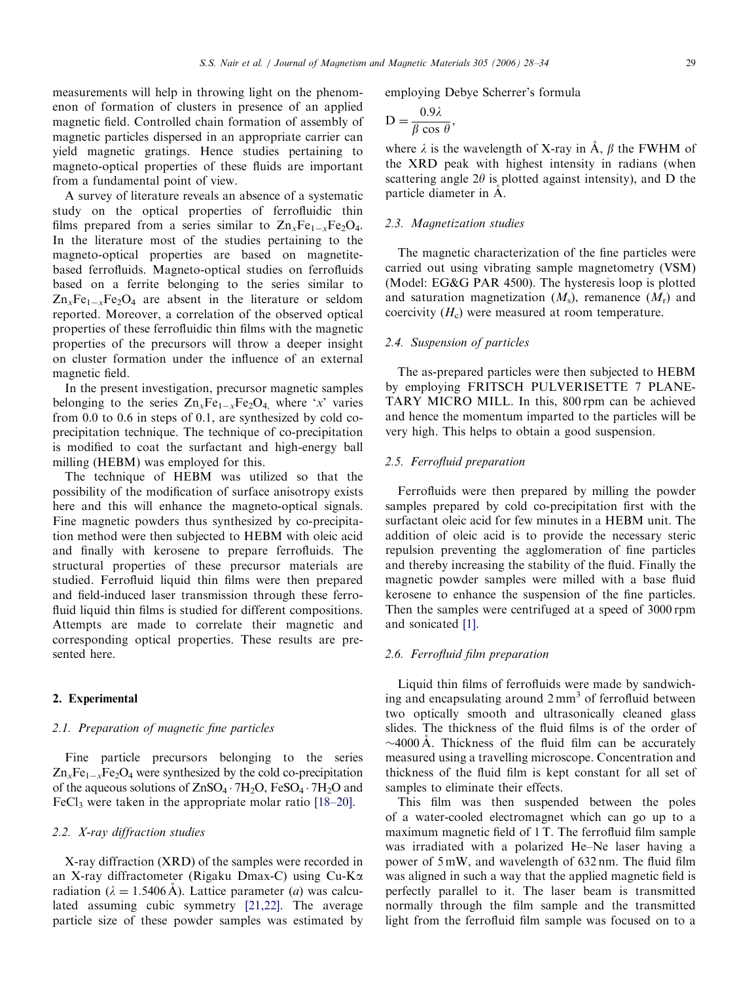measurements will help in throwing light on the phenomenon of formation of clusters in presence of an applied magnetic field. Controlled chain formation of assembly of magnetic particles dispersed in an appropriate carrier can yield magnetic gratings. Hence studies pertaining to magneto-optical properties of these fluids are important from a fundamental point of view.

A survey of literature reveals an absence of a systematic study on the optical properties of ferrofluidic thin films prepared from a series similar to  $\text{Zn}_x \text{Fe}_{1-x} \text{Fe}_2 \text{O}_4$ . In the literature most of the studies pertaining to the magneto-optical properties are based on magnetitebased ferrofluids. Magneto-optical studies on ferrofluids based on a ferrite belonging to the series similar to  $\text{Zn}_x\text{Fe}_{1-x}\text{Fe}_2\text{O}_4$  are absent in the literature or seldom reported. Moreover, a correlation of the observed optical properties of these ferrofluidic thin films with the magnetic properties of the precursors will throw a deeper insight on cluster formation under the influence of an external magnetic field.

In the present investigation, precursor magnetic samples belonging to the series  $Zn_xFe_{1-x}Fe_2O_4$ , where 'x' varies from 0.0 to 0.6 in steps of 0.1, are synthesized by cold coprecipitation technique. The technique of co-precipitation is modified to coat the surfactant and high-energy ball milling (HEBM) was employed for this.

The technique of HEBM was utilized so that the possibility of the modification of surface anisotropy exists here and this will enhance the magneto-optical signals. Fine magnetic powders thus synthesized by co-precipitation method were then subjected to HEBM with oleic acid and finally with kerosene to prepare ferrofluids. The structural properties of these precursor materials are studied. Ferrofluid liquid thin films were then prepared and field-induced laser transmission through these ferrofluid liquid thin films is studied for different compositions. Attempts are made to correlate their magnetic and corresponding optical properties. These results are presented here.

#### 2. Experimental

#### 2.1. Preparation of magnetic fine particles

Fine particle precursors belonging to the series  $Zn_xFe_{1-x}Fe_2O_4$  were synthesized by the cold co-precipitation of the aqueous solutions of  $ZnSO_4 \cdot 7H_2O$ , FeSO<sub>4</sub>  $\cdot 7H_2O$  and FeCl<sub>3</sub> were taken in the appropriate molar ratio  $[18–20]$ .

## 2.2. X-ray diffraction studies

X-ray diffraction (XRD) of the samples were recorded in an X-ray diffractometer (Rigaku Dmax-C) using Cu-K*a* radiation ( $\lambda = 1.5406 \text{ Å}$ ). Lattice parameter (*a*) was calculated assuming cubic symmetry [\[21,22\]](#page-6-0). The average particle size of these powder samples was estimated by employing Debye Scherrer's formula

$$
D = \frac{0.9\lambda}{\beta \cos \theta},
$$

where  $\lambda$  is the wavelength of X-ray in  $\AA$ ,  $\beta$  the FWHM of the XRD peak with highest intensity in radians (when scattering angle  $2\theta$  is plotted against intensity), and D the particle diameter in  $\AA$ .

## 2.3. Magnetization studies

The magnetic characterization of the fine particles were carried out using vibrating sample magnetometry (VSM) (Model: EG&G PAR 4500). The hysteresis loop is plotted and saturation magnetization  $(M<sub>s</sub>)$ , remanence  $(M<sub>r</sub>)$  and coercivity  $(H_c)$  were measured at room temperature.

#### 2.4. Suspension of particles

The as-prepared particles were then subjected to HEBM by employing FRITSCH PULVERISETTE 7 PLANE-TARY MICRO MILL. In this, 800 rpm can be achieved and hence the momentum imparted to the particles will be very high. This helps to obtain a good suspension.

## 2.5. Ferrofluid preparation

Ferrofluids were then prepared by milling the powder samples prepared by cold co-precipitation first with the surfactant oleic acid for few minutes in a HEBM unit. The addition of oleic acid is to provide the necessary steric repulsion preventing the agglomeration of fine particles and thereby increasing the stability of the fluid. Finally the magnetic powder samples were milled with a base fluid kerosene to enhance the suspension of the fine particles. Then the samples were centrifuged at a speed of 3000 rpm and sonicated [\[1\].](#page-5-0)

## 2.6. Ferrofluid film preparation

Liquid thin films of ferrofluids were made by sandwiching and encapsulating around  $2 \text{ mm}^3$  of ferrofluid between two optically smooth and ultrasonically cleaned glass slides. The thickness of the fluid films is of the order of  $\sim$ 4000 Å. Thickness of the fluid film can be accurately measured using a travelling microscope. Concentration and thickness of the fluid film is kept constant for all set of samples to eliminate their effects.

This film was then suspended between the poles of a water-cooled electromagnet which can go up to a maximum magnetic field of 1 T. The ferrofluid film sample was irradiated with a polarized He–Ne laser having a power of 5 mW, and wavelength of 632 nm. The fluid film was aligned in such a way that the applied magnetic field is perfectly parallel to it. The laser beam is transmitted normally through the film sample and the transmitted light from the ferrofluid film sample was focused on to a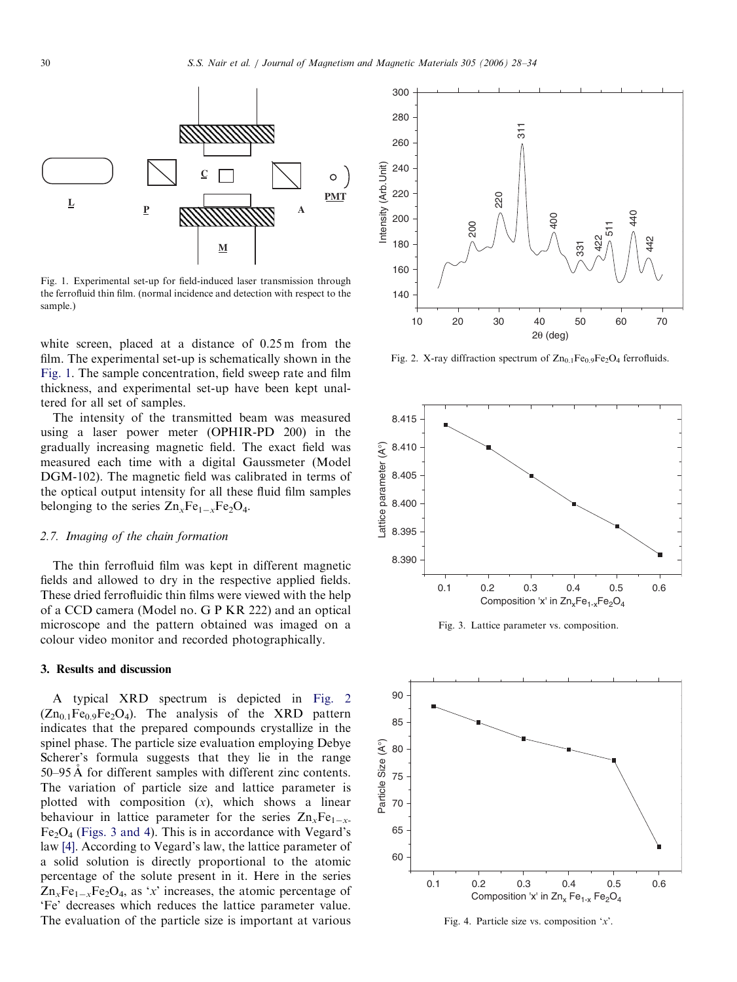<span id="page-2-0"></span>

Fig. 1. Experimental set-up for field-induced laser transmission through the ferrofluid thin film. (normal incidence and detection with respect to the sample.)

white screen, placed at a distance of 0.25 m from the film. The experimental set-up is schematically shown in the Fig. 1. The sample concentration, field sweep rate and film thickness, and experimental set-up have been kept unaltered for all set of samples.

The intensity of the transmitted beam was measured using a laser power meter (OPHIR-PD 200) in the gradually increasing magnetic field. The exact field was measured each time with a digital Gaussmeter (Model DGM-102). The magnetic field was calibrated in terms of the optical output intensity for all these fluid film samples belonging to the series  $Zn_xFe_{1-x}Fe_2O_4$ .

## 2.7. Imaging of the chain formation

The thin ferrofluid film was kept in different magnetic fields and allowed to dry in the respective applied fields. These dried ferrofluidic thin films were viewed with the help of a CCD camera (Model no. G P KR 222) and an optical microscope and the pattern obtained was imaged on a colour video monitor and recorded photographically.

#### 3. Results and discussion

A typical XRD spectrum is depicted in Fig. 2  $(Zn_{0.1}Fe_{0.9}Fe_2O_4)$ . The analysis of the XRD pattern indicates that the prepared compounds crystallize in the spinel phase. The particle size evaluation employing Debye Scherer's formula suggests that they lie in the range 50–95 Å for different samples with different zinc contents. The variation of particle size and lattice parameter is plotted with composition  $(x)$ , which shows a linear behaviour in lattice parameter for the series  $Zn_xFe_{1-x}$ .  $Fe<sub>2</sub>O<sub>4</sub>$  (Figs. 3 and 4). This is in accordance with Vegard's law [\[4\].](#page-5-0) According to Vegard's law, the lattice parameter of a solid solution is directly proportional to the atomic percentage of the solute present in it. Here in the series  $\text{Zn}_x\text{Fe}_{1-x}\text{Fe}_2\text{O}_4$ , as 'x' increases, the atomic percentage of 'Fe' decreases which reduces the lattice parameter value. The evaluation of the particle size is important at various



Fig. 2. X-ray diffraction spectrum of  $Zn_{0,1}Fe_{0,9}Fe_2O_4$  ferrofluids.



Fig. 3. Lattice parameter vs. composition.



Fig. 4. Particle size vs. composition 'x'.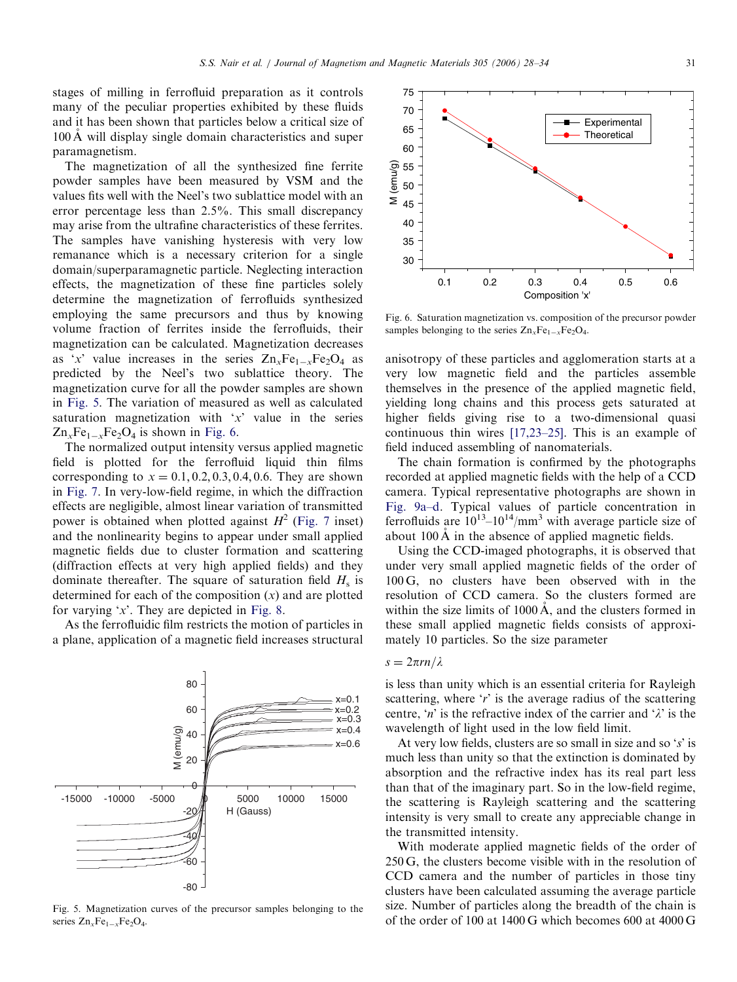<span id="page-3-0"></span>stages of milling in ferrofluid preparation as it controls many of the peculiar properties exhibited by these fluids and it has been shown that particles below a critical size of 100 Å will display single domain characteristics and super paramagnetism.

The magnetization of all the synthesized fine ferrite powder samples have been measured by VSM and the values fits well with the Neel's two sublattice model with an error percentage less than 2.5%. This small discrepancy may arise from the ultrafine characteristics of these ferrites. The samples have vanishing hysteresis with very low remanance which is a necessary criterion for a single domain/superparamagnetic particle. Neglecting interaction effects, the magnetization of these fine particles solely determine the magnetization of ferrofluids synthesized employing the same precursors and thus by knowing volume fraction of ferrites inside the ferrofluids, their magnetization can be calculated. Magnetization decreases as 'x' value increases in the series  $Zn_xFe_{1-x}Fe_2O_4$  as predicted by the Neel's two sublattice theory. The magnetization curve for all the powder samples are shown in Fig. 5. The variation of measured as well as calculated saturation magnetization with  $x$  value in the series  $\text{Zn}_x \text{Fe}_{1-x} \text{Fe}_2 \text{O}_4$  is shown in Fig. 6.

The normalized output intensity versus applied magnetic field is plotted for the ferrofluid liquid thin films corresponding to  $x = 0.1, 0.2, 0.3, 0.4, 0.6$ . They are shown in [Fig. 7.](#page-4-0) In very-low-field regime, in which the diffraction effects are negligible, almost linear variation of transmitted power is obtained when plotted against  $H^2$  [\(Fig. 7](#page-4-0) inset) and the nonlinearity begins to appear under small applied magnetic fields due to cluster formation and scattering (diffraction effects at very high applied fields) and they dominate thereafter. The square of saturation field  $H<sub>s</sub>$  is determined for each of the composition  $(x)$  and are plotted for varying  $x$ . They are depicted in [Fig. 8](#page-4-0).

As the ferrofluidic film restricts the motion of particles in a plane, application of a magnetic field increases structural



Fig. 5. Magnetization curves of the precursor samples belonging to the series  $Zn_xFe_{1-x}Fe_2O_4$ .



Fig. 6. Saturation magnetization vs. composition of the precursor powder samples belonging to the series  $Zn_xFe_{1-x}Fe_2O_4$ .

anisotropy of these particles and agglomeration starts at a very low magnetic field and the particles assemble themselves in the presence of the applied magnetic field, yielding long chains and this process gets saturated at higher fields giving rise to a two-dimensional quasi continuous thin wires [\[17,23–25\].](#page-6-0) This is an example of field induced assembling of nanomaterials.

The chain formation is confirmed by the photographs recorded at applied magnetic fields with the help of a CCD camera. Typical representative photographs are shown in [Fig. 9a–d](#page-5-0). Typical values of particle concentration in ferrofluids are  $10^{13}$ – $10^{14}$ /mm<sup>3</sup> with average particle size of about  $100 \text{\AA}$  in the absence of applied magnetic fields.

Using the CCD-imaged photographs, it is observed that under very small applied magnetic fields of the order of 100 G, no clusters have been observed with in the resolution of CCD camera. So the clusters formed are within the size limits of  $1000 \text{ Å}$ , and the clusters formed in these small applied magnetic fields consists of approximately 10 particles. So the size parameter

# $s = 2\pi r n/\lambda$

is less than unity which is an essential criteria for Rayleigh scattering, where  $r'$  is the average radius of the scattering centre, 'n' is the refractive index of the carrier and ' $\lambda$ ' is the wavelength of light used in the low field limit.

At very low fields, clusters are so small in size and so  $s'$  is much less than unity so that the extinction is dominated by absorption and the refractive index has its real part less than that of the imaginary part. So in the low-field regime, the scattering is Rayleigh scattering and the scattering intensity is very small to create any appreciable change in the transmitted intensity.

With moderate applied magnetic fields of the order of 250 G, the clusters become visible with in the resolution of CCD camera and the number of particles in those tiny clusters have been calculated assuming the average particle size. Number of particles along the breadth of the chain is of the order of 100 at 1400 G which becomes 600 at 4000 G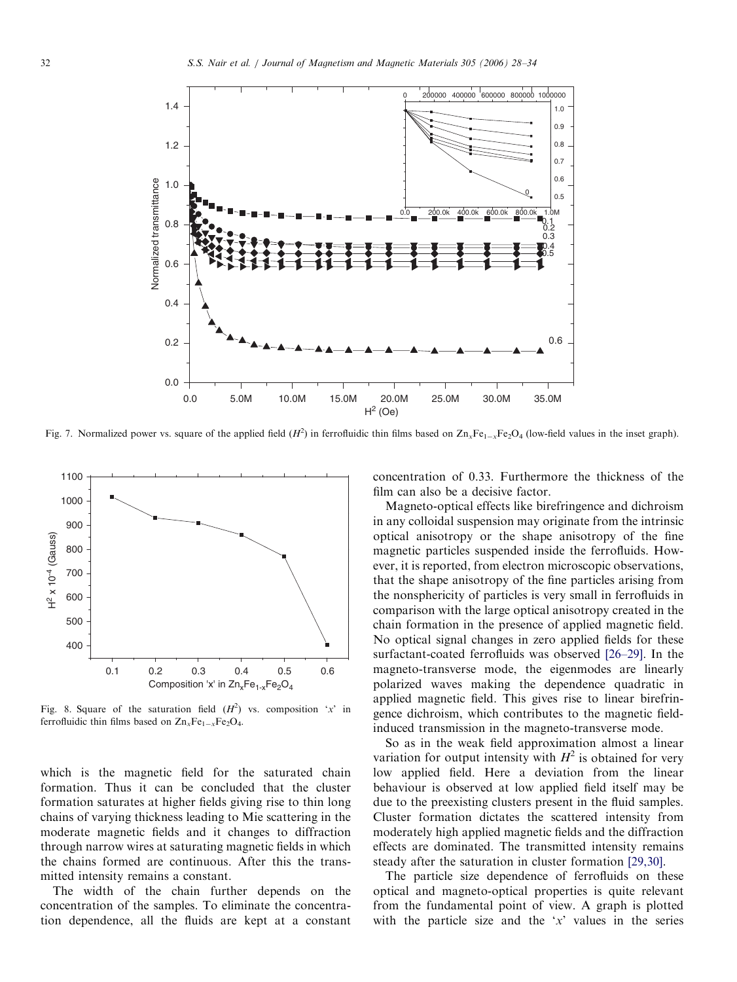<span id="page-4-0"></span>

Fig. 7. Normalized power vs. square of the applied field  $(H^2)$  in ferrofluidic thin films based on  $Zn_xFe_{1-x}Fe_2O_4$  (low-field values in the inset graph).



Fig. 8. Square of the saturation field  $(H^2)$  vs. composition 'x' in ferrofluidic thin films based on  $\text{Zn}_x\text{Fe}_{1-x}\text{Fe}_2\text{O}_4$ .

which is the magnetic field for the saturated chain formation. Thus it can be concluded that the cluster formation saturates at higher fields giving rise to thin long chains of varying thickness leading to Mie scattering in the moderate magnetic fields and it changes to diffraction through narrow wires at saturating magnetic fields in which the chains formed are continuous. After this the transmitted intensity remains a constant.

The width of the chain further depends on the concentration of the samples. To eliminate the concentration dependence, all the fluids are kept at a constant concentration of 0.33. Furthermore the thickness of the film can also be a decisive factor.

Magneto-optical effects like birefringence and dichroism in any colloidal suspension may originate from the intrinsic optical anisotropy or the shape anisotropy of the fine magnetic particles suspended inside the ferrofluids. However, it is reported, from electron microscopic observations, that the shape anisotropy of the fine particles arising from the nonsphericity of particles is very small in ferrofluids in comparison with the large optical anisotropy created in the chain formation in the presence of applied magnetic field. No optical signal changes in zero applied fields for these surfactant-coated ferrofluids was observed [\[26–29\].](#page-6-0) In the magneto-transverse mode, the eigenmodes are linearly polarized waves making the dependence quadratic in applied magnetic field. This gives rise to linear birefringence dichroism, which contributes to the magnetic fieldinduced transmission in the magneto-transverse mode.

So as in the weak field approximation almost a linear variation for output intensity with  $H^2$  is obtained for very low applied field. Here a deviation from the linear behaviour is observed at low applied field itself may be due to the preexisting clusters present in the fluid samples. Cluster formation dictates the scattered intensity from moderately high applied magnetic fields and the diffraction effects are dominated. The transmitted intensity remains steady after the saturation in cluster formation [\[29,30\].](#page-6-0)

The particle size dependence of ferrofluids on these optical and magneto-optical properties is quite relevant from the fundamental point of view. A graph is plotted with the particle size and the  $x$  values in the series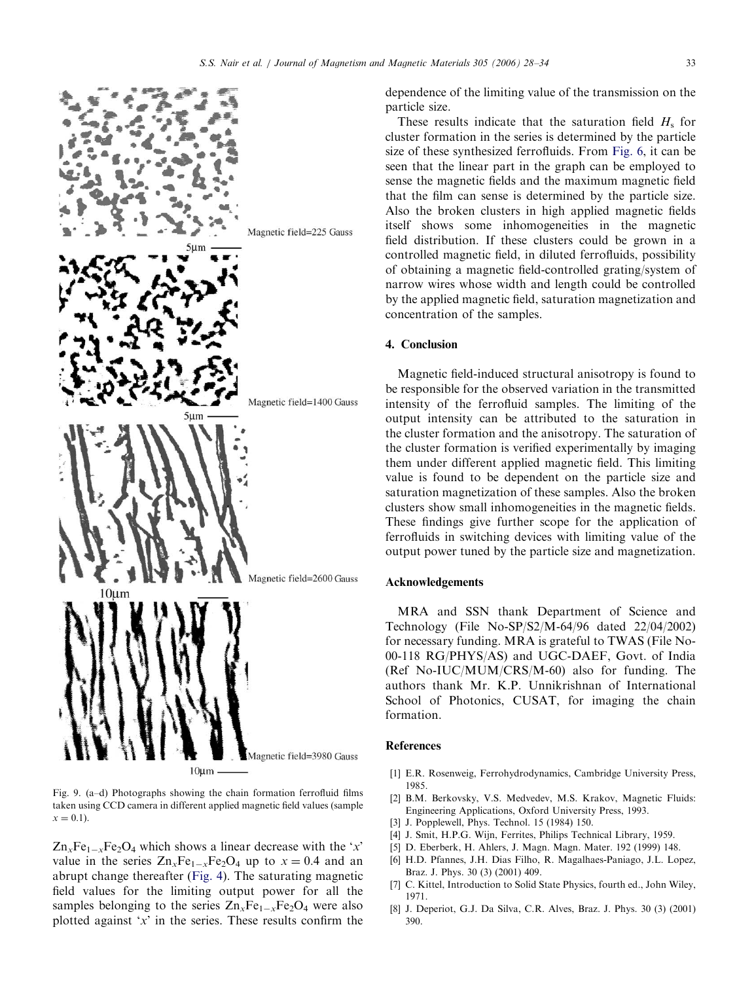<span id="page-5-0"></span>

Fig. 9. (a–d) Photographs showing the chain formation ferrofluid films taken using CCD camera in different applied magnetic field values (sample  $x = 0.1$ .

 $\text{Zn}_x\text{Fe}_{1-x}\text{Fe}_2\text{O}_4$  which shows a linear decrease with the 'x' value in the series  $Zn_xFe_{1-x}Fe_2O_4$  up to  $x = 0.4$  and an abrupt change thereafter ([Fig. 4](#page-2-0)). The saturating magnetic field values for the limiting output power for all the samples belonging to the series  $Zn_xFe_{1-x}Fe_2O_4$  were also plotted against  $x'$  in the series. These results confirm the dependence of the limiting value of the transmission on the particle size.

These results indicate that the saturation field  $H<sub>s</sub>$  for cluster formation in the series is determined by the particle size of these synthesized ferrofluids. From [Fig. 6,](#page-3-0) it can be seen that the linear part in the graph can be employed to sense the magnetic fields and the maximum magnetic field that the film can sense is determined by the particle size. Also the broken clusters in high applied magnetic fields itself shows some inhomogeneities in the magnetic field distribution. If these clusters could be grown in a controlled magnetic field, in diluted ferrofluids, possibility of obtaining a magnetic field-controlled grating/system of narrow wires whose width and length could be controlled by the applied magnetic field, saturation magnetization and concentration of the samples.

## 4. Conclusion

Magnetic field-induced structural anisotropy is found to be responsible for the observed variation in the transmitted intensity of the ferrofluid samples. The limiting of the output intensity can be attributed to the saturation in the cluster formation and the anisotropy. The saturation of the cluster formation is verified experimentally by imaging them under different applied magnetic field. This limiting value is found to be dependent on the particle size and saturation magnetization of these samples. Also the broken clusters show small inhomogeneities in the magnetic fields. These findings give further scope for the application of ferrofluids in switching devices with limiting value of the output power tuned by the particle size and magnetization.

#### Acknowledgements

MRA and SSN thank Department of Science and Technology (File No-SP/S2/M-64/96 dated 22/04/2002) for necessary funding. MRA is grateful to TWAS (File No-00-118 RG/PHYS/AS) and UGC-DAEF, Govt. of India (Ref No-IUC/MUM/CRS/M-60) also for funding. The authors thank Mr. K.P. Unnikrishnan of International School of Photonics, CUSAT, for imaging the chain formation.

## References

- [1] E.R. Rosenweig, Ferrohydrodynamics, Cambridge University Press, 1985.
- [2] B.M. Berkovsky, V.S. Medvedev, M.S. Krakov, Magnetic Fluids: Engineering Applications, Oxford University Press, 1993.
- [3] J. Popplewell, Phys. Technol. 15 (1984) 150.
- [4] J. Smit, H.P.G. Wijn, Ferrites, Philips Technical Library, 1959.
- [5] D. Eberberk, H. Ahlers, J. Magn. Magn. Mater. 192 (1999) 148.
- [6] H.D. Pfannes, J.H. Dias Filho, R. Magalhaes-Paniago, J.L. Lopez, Braz. J. Phys. 30 (3) (2001) 409.
- [7] C. Kittel, Introduction to Solid State Physics, fourth ed., John Wiley, 1971.
- [8] J. Deperiot, G.J. Da Silva, C.R. Alves, Braz. J. Phys. 30 (3) (2001) 390.